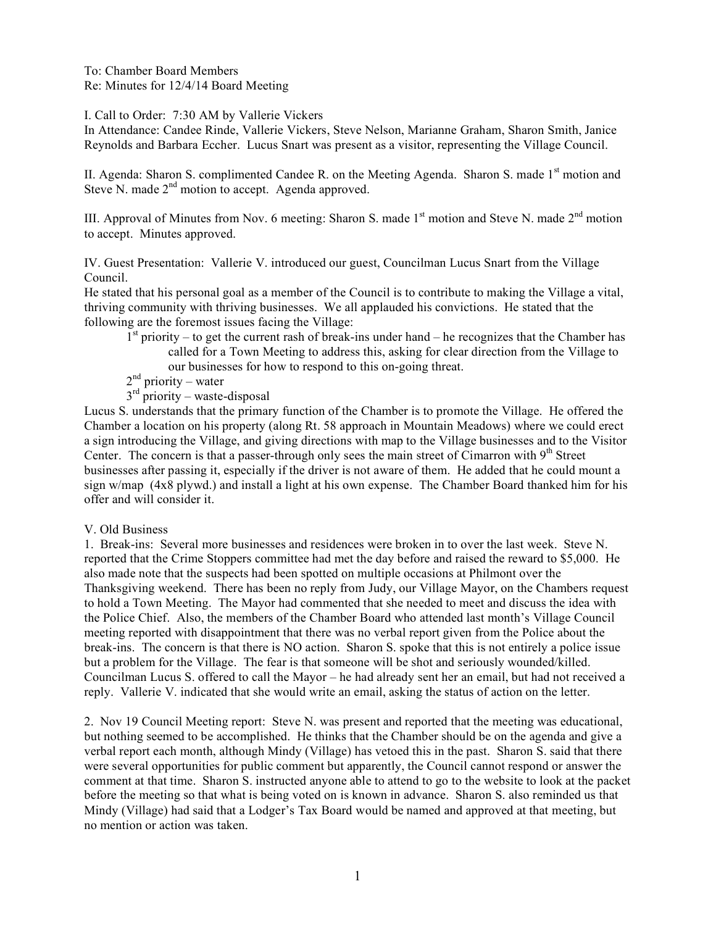To: Chamber Board Members Re: Minutes for 12/4/14 Board Meeting

I. Call to Order: 7:30 AM by Vallerie Vickers

In Attendance: Candee Rinde, Vallerie Vickers, Steve Nelson, Marianne Graham, Sharon Smith, Janice Reynolds and Barbara Eccher. Lucus Snart was present as a visitor, representing the Village Council.

II. Agenda: Sharon S. complimented Candee R. on the Meeting Agenda. Sharon S. made 1<sup>st</sup> motion and Steve N. made  $2<sup>nd</sup>$  motion to accept. Agenda approved.

III. Approval of Minutes from Nov. 6 meeting: Sharon S. made  $1<sup>st</sup>$  motion and Steve N. made  $2<sup>nd</sup>$  motion to accept. Minutes approved.

IV. Guest Presentation: Vallerie V. introduced our guest, Councilman Lucus Snart from the Village Council.

He stated that his personal goal as a member of the Council is to contribute to making the Village a vital, thriving community with thriving businesses. We all applauded his convictions. He stated that the following are the foremost issues facing the Village:

- $1<sup>st</sup>$  priority to get the current rash of break-ins under hand he recognizes that the Chamber has called for a Town Meeting to address this, asking for clear direction from the Village to our businesses for how to respond to this on-going threat.
- $2<sup>nd</sup>$  priority water
- $3<sup>rd</sup>$  priority waste-disposal

Lucus S. understands that the primary function of the Chamber is to promote the Village. He offered the Chamber a location on his property (along Rt. 58 approach in Mountain Meadows) where we could erect a sign introducing the Village, and giving directions with map to the Village businesses and to the Visitor Center. The concern is that a passer-through only sees the main street of Cimarron with  $9<sup>th</sup>$  Street businesses after passing it, especially if the driver is not aware of them. He added that he could mount a sign w/map (4x8 plywd.) and install a light at his own expense. The Chamber Board thanked him for his offer and will consider it.

## V. Old Business

1. Break-ins: Several more businesses and residences were broken in to over the last week. Steve N. reported that the Crime Stoppers committee had met the day before and raised the reward to \$5,000. He also made note that the suspects had been spotted on multiple occasions at Philmont over the Thanksgiving weekend. There has been no reply from Judy, our Village Mayor, on the Chambers request to hold a Town Meeting. The Mayor had commented that she needed to meet and discuss the idea with the Police Chief. Also, the members of the Chamber Board who attended last month's Village Council meeting reported with disappointment that there was no verbal report given from the Police about the break-ins. The concern is that there is NO action. Sharon S. spoke that this is not entirely a police issue but a problem for the Village. The fear is that someone will be shot and seriously wounded/killed. Councilman Lucus S. offered to call the Mayor – he had already sent her an email, but had not received a reply. Vallerie V. indicated that she would write an email, asking the status of action on the letter.

2. Nov 19 Council Meeting report: Steve N. was present and reported that the meeting was educational, but nothing seemed to be accomplished. He thinks that the Chamber should be on the agenda and give a verbal report each month, although Mindy (Village) has vetoed this in the past. Sharon S. said that there were several opportunities for public comment but apparently, the Council cannot respond or answer the comment at that time. Sharon S. instructed anyone able to attend to go to the website to look at the packet before the meeting so that what is being voted on is known in advance. Sharon S. also reminded us that Mindy (Village) had said that a Lodger's Tax Board would be named and approved at that meeting, but no mention or action was taken.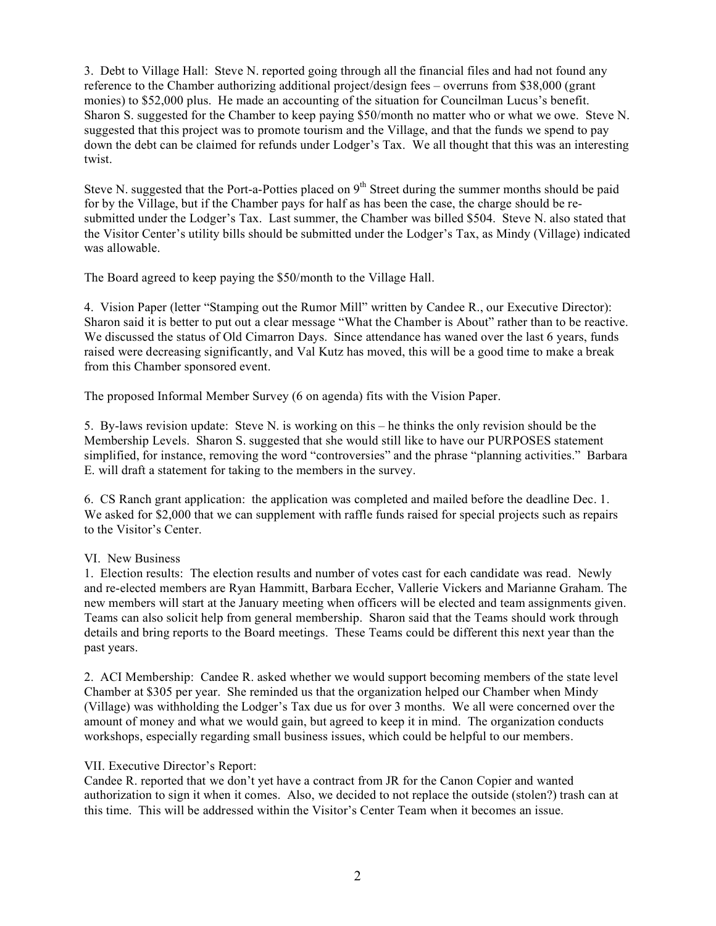3. Debt to Village Hall: Steve N. reported going through all the financial files and had not found any reference to the Chamber authorizing additional project/design fees – overruns from \$38,000 (grant monies) to \$52,000 plus. He made an accounting of the situation for Councilman Lucus's benefit. Sharon S. suggested for the Chamber to keep paying \$50/month no matter who or what we owe. Steve N. suggested that this project was to promote tourism and the Village, and that the funds we spend to pay down the debt can be claimed for refunds under Lodger's Tax. We all thought that this was an interesting twist.

Steve N. suggested that the Port-a-Potties placed on  $9<sup>th</sup>$  Street during the summer months should be paid for by the Village, but if the Chamber pays for half as has been the case, the charge should be resubmitted under the Lodger's Tax. Last summer, the Chamber was billed \$504. Steve N. also stated that the Visitor Center's utility bills should be submitted under the Lodger's Tax, as Mindy (Village) indicated was allowable.

The Board agreed to keep paying the \$50/month to the Village Hall.

4. Vision Paper (letter "Stamping out the Rumor Mill" written by Candee R., our Executive Director): Sharon said it is better to put out a clear message "What the Chamber is About" rather than to be reactive. We discussed the status of Old Cimarron Days. Since attendance has waned over the last 6 years, funds raised were decreasing significantly, and Val Kutz has moved, this will be a good time to make a break from this Chamber sponsored event.

The proposed Informal Member Survey (6 on agenda) fits with the Vision Paper.

5. By-laws revision update: Steve N. is working on this – he thinks the only revision should be the Membership Levels. Sharon S. suggested that she would still like to have our PURPOSES statement simplified, for instance, removing the word "controversies" and the phrase "planning activities." Barbara E. will draft a statement for taking to the members in the survey.

6. CS Ranch grant application: the application was completed and mailed before the deadline Dec. 1. We asked for \$2,000 that we can supplement with raffle funds raised for special projects such as repairs to the Visitor's Center.

## VI. New Business

1. Election results: The election results and number of votes cast for each candidate was read. Newly and re-elected members are Ryan Hammitt, Barbara Eccher, Vallerie Vickers and Marianne Graham. The new members will start at the January meeting when officers will be elected and team assignments given. Teams can also solicit help from general membership. Sharon said that the Teams should work through details and bring reports to the Board meetings. These Teams could be different this next year than the past years.

2. ACI Membership: Candee R. asked whether we would support becoming members of the state level Chamber at \$305 per year. She reminded us that the organization helped our Chamber when Mindy (Village) was withholding the Lodger's Tax due us for over 3 months. We all were concerned over the amount of money and what we would gain, but agreed to keep it in mind. The organization conducts workshops, especially regarding small business issues, which could be helpful to our members.

## VII. Executive Director's Report:

Candee R. reported that we don't yet have a contract from JR for the Canon Copier and wanted authorization to sign it when it comes. Also, we decided to not replace the outside (stolen?) trash can at this time. This will be addressed within the Visitor's Center Team when it becomes an issue.